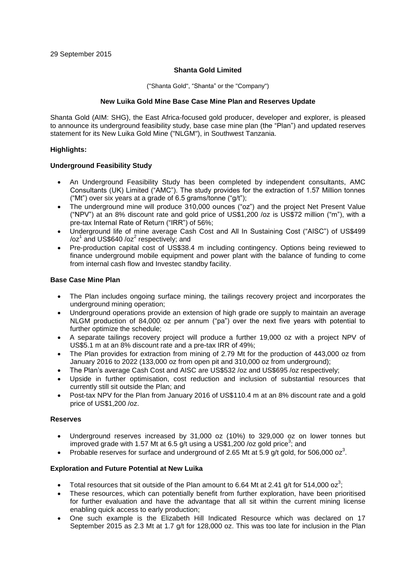## **Shanta Gold Limited**

("Shanta Gold", "Shanta" or the "Company")

## **New Luika Gold Mine Base Case Mine Plan and Reserves Update**

Shanta Gold (AIM: SHG), the East Africa-focused gold producer, developer and explorer, is pleased to announce its underground feasibility study, base case mine plan (the "Plan") and updated reserves statement for its New Luika Gold Mine ("NLGM"), in Southwest Tanzania.

## **Highlights:**

# **Underground Feasibility Study**

- An Underground Feasibility Study has been completed by independent consultants, AMC Consultants (UK) Limited ("AMC"). The study provides for the extraction of 1.57 Million tonnes ("Mt") over six years at a grade of 6.5 grams/tonne ("g/t");
- The underground mine will produce 310,000 ounces ("oz") and the project Net Present Value ("NPV") at an 8% discount rate and gold price of US\$1,200 /oz is US\$72 million ("m"), with a pre-tax Internal Rate of Return ("IRR") of 56%;
- Underground life of mine average Cash Cost and All In Sustaining Cost ("AISC") of US\$499 /oz $^1$  and US\$640 /oz $^2$  respectively; and
- Pre-production capital cost of US\$38.4 m including contingency. Options being reviewed to finance underground mobile equipment and power plant with the balance of funding to come from internal cash flow and Investec standby facility.

## **Base Case Mine Plan**

- The Plan includes ongoing surface mining, the tailings recovery project and incorporates the underground mining operation;
- Underground operations provide an extension of high grade ore supply to maintain an average NLGM production of 84,000 oz per annum ("pa") over the next five years with potential to further optimize the schedule;
- A separate tailings recovery project will produce a further 19,000 oz with a project NPV of US\$5.1 m at an 8% discount rate and a pre-tax IRR of 49%;
- The Plan provides for extraction from mining of 2.79 Mt for the production of 443,000 oz from January 2016 to 2022 (133,000 oz from open pit and 310,000 oz from underground);
- The Plan's average Cash Cost and AISC are US\$532 /oz and US\$695 /oz respectively;
- Upside in further optimisation, cost reduction and inclusion of substantial resources that currently still sit outside the Plan; and
- Post-tax NPV for the Plan from January 2016 of US\$110.4 m at an 8% discount rate and a gold price of US\$1,200 /oz.

## **Reserves**

- Underground reserves increased by 31,000 oz (10%) to 329,000 oz on lower tonnes but improved grade with 1.57 Mt at 6.5 g/t using a US\$1,200 /oz gold price<sup>3</sup>; and
- Probable reserves for surface and underground of 2.65 Mt at 5.9 g/t gold, for 506,000 oz<sup>3</sup>.

# **Exploration and Future Potential at New Luika**

- Total resources that sit outside of the Plan amount to 6.64 Mt at 2.41 g/t for 514,000 oz<sup>3</sup>;
- These resources, which can potentially benefit from further exploration, have been prioritised for further evaluation and have the advantage that all sit within the current mining license enabling quick access to early production;
- One such example is the Elizabeth Hill Indicated Resource which was declared on 17 September 2015 as 2.3 Mt at 1.7 g/t for 128,000 oz. This was too late for inclusion in the Plan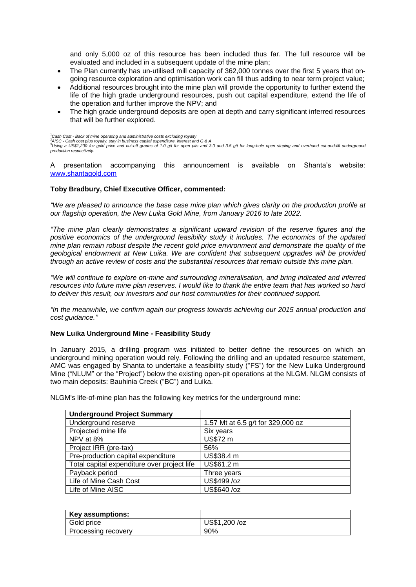and only 5,000 oz of this resource has been included thus far. The full resource will be evaluated and included in a subsequent update of the mine plan;

- The Plan currently has un-utilised mill capacity of 362,000 tonnes over the first 5 years that ongoing resource exploration and optimisation work can fill thus adding to near term project value;
- Additional resources brought into the mine plan will provide the opportunity to further extend the life of the high grade underground resources, push out capital expenditure, extend the life of the operation and further improve the NPV; and
- The high grade underground deposits are open at depth and carry significant inferred resources that will be further explored.

<sup>1</sup>Cash Cost - Back of mine operating and administrative costs excluding royalty<br><sup>2</sup>AISC - Cash cost plus royalty, stay in business capital expenditure, interest and G & A<br><sup>3</sup>Using a US\$1,200 /oz gold price and cut-off gra

A presentation accompanying this announcement is available on Shanta's website: [www.shantagold.com](http://www.shantagold.com/)

## **Toby Bradbury, Chief Executive Officer, commented:**

*"We are pleased to announce the base case mine plan which gives clarity on the production profile at our flagship operation, the New Luika Gold Mine, from January 2016 to late 2022.* 

*"The mine plan clearly demonstrates a significant upward revision of the reserve figures and the positive economics of the underground feasibility study it includes. The economics of the updated mine plan remain robust despite the recent gold price environment and demonstrate the quality of the geological endowment at New Luika. We are confident that subsequent upgrades will be provided through an active review of costs and the substantial resources that remain outside this mine plan.*

*"We will continue to explore on-mine and surrounding mineralisation, and bring indicated and inferred resources into future mine plan reserves. I would like to thank the entire team that has worked so hard to deliver this result, our investors and our host communities for their continued support.*

*"In the meanwhile, we confirm again our progress towards achieving our 2015 annual production and cost guidance."*

## **New Luika Underground Mine - Feasibility Study**

In January 2015, a drilling program was initiated to better define the resources on which an underground mining operation would rely. Following the drilling and an updated resource statement, AMC was engaged by Shanta to undertake a feasibility study ("FS") for the New Luika Underground Mine ("NLUM" or the "Project") below the existing open-pit operations at the NLGM. NLGM consists of two main deposits: Bauhinia Creek ("BC") and Luika.

NLGM's life-of-mine plan has the following key metrics for the underground mine:

| <b>Underground Project Summary</b>          |                                   |
|---------------------------------------------|-----------------------------------|
| Underground reserve                         | 1.57 Mt at 6.5 g/t for 329,000 oz |
| Projected mine life                         | Six years                         |
| NPV at 8%                                   | US\$72 m                          |
| Project IRR (pre-tax)                       | 56%                               |
| Pre-production capital expenditure          | US\$38.4 m                        |
| Total capital expenditure over project life | US\$61.2 m                        |
| Payback period                              | Three years                       |
| Life of Mine Cash Cost                      | US\$499 /oz                       |
| Life of Mine AISC                           | US\$640 /oz                       |

| <b>Key assumptions:</b> |               |
|-------------------------|---------------|
| Gold price              | US\$1,200 /oz |
| Processing recovery     | 90%           |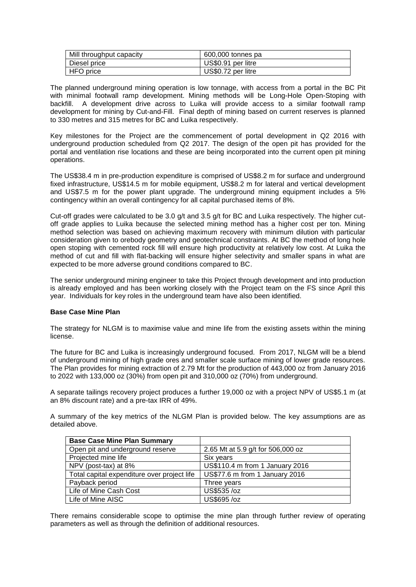| Mill throughput capacity | 600,000 tonnes pa  |
|--------------------------|--------------------|
| Diesel price             | US\$0.91 per litre |
| HFO price                | US\$0.72 per litre |

The planned underground mining operation is low tonnage, with access from a portal in the BC Pit with minimal footwall ramp development. Mining methods will be Long-Hole Open-Stoping with backfill. A development drive across to Luika will provide access to a similar footwall ramp development for mining by Cut-and-Fill. Final depth of mining based on current reserves is planned to 330 metres and 315 metres for BC and Luika respectively.

Key milestones for the Project are the commencement of portal development in Q2 2016 with underground production scheduled from Q2 2017. The design of the open pit has provided for the portal and ventilation rise locations and these are being incorporated into the current open pit mining operations.

The US\$38.4 m in pre-production expenditure is comprised of US\$8.2 m for surface and underground fixed infrastructure, US\$14.5 m for mobile equipment, US\$8.2 m for lateral and vertical development and US\$7.5 m for the power plant upgrade. The underground mining equipment includes a 5% contingency within an overall contingency for all capital purchased items of 8%.

Cut-off grades were calculated to be 3.0 g/t and 3.5 g/t for BC and Luika respectively. The higher cutoff grade applies to Luika because the selected mining method has a higher cost per ton. Mining method selection was based on achieving maximum recovery with minimum dilution with particular consideration given to orebody geometry and geotechnical constraints. At BC the method of long hole open stoping with cemented rock fill will ensure high productivity at relatively low cost. At Luika the method of cut and fill with flat-backing will ensure higher selectivity and smaller spans in what are expected to be more adverse ground conditions compared to BC.

The senior underground mining engineer to take this Project through development and into production is already employed and has been working closely with the Project team on the FS since April this year. Individuals for key roles in the underground team have also been identified.

# **Base Case Mine Plan**

The strategy for NLGM is to maximise value and mine life from the existing assets within the mining license.

The future for BC and Luika is increasingly underground focused. From 2017, NLGM will be a blend of underground mining of high grade ores and smaller scale surface mining of lower grade resources. The Plan provides for mining extraction of 2.79 Mt for the production of 443,000 oz from January 2016 to 2022 with 133,000 oz (30%) from open pit and 310,000 oz (70%) from underground.

A separate tailings recovery project produces a further 19,000 oz with a project NPV of US\$5.1 m (at an 8% discount rate) and a pre-tax IRR of 49%.

A summary of the key metrics of the NLGM Plan is provided below. The key assumptions are as detailed above.

| <b>Base Case Mine Plan Summary</b>          |                                   |
|---------------------------------------------|-----------------------------------|
| Open pit and underground reserve            | 2.65 Mt at 5.9 g/t for 506,000 oz |
| Projected mine life                         | Six years                         |
| NPV (post-tax) at 8%                        | US\$110.4 m from 1 January 2016   |
| Total capital expenditure over project life | US\$77.6 m from 1 January 2016    |
| Payback period                              | Three years                       |
| Life of Mine Cash Cost                      | US\$535 /oz                       |
| Life of Mine AISC                           | US\$695 /oz                       |

There remains considerable scope to optimise the mine plan through further review of operating parameters as well as through the definition of additional resources.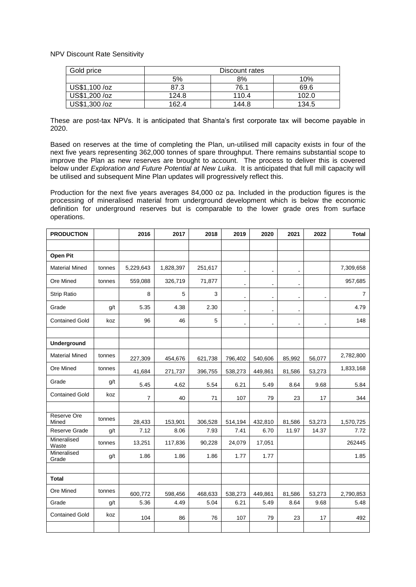NPV Discount Rate Sensitivity

| Gold price    | Discount rates  |       |       |  |  |  |  |  |
|---------------|-----------------|-------|-------|--|--|--|--|--|
|               | 8%<br>5%<br>10% |       |       |  |  |  |  |  |
| US\$1,100 /oz | 87.3            | 76.1  | 69.6  |  |  |  |  |  |
| US\$1,200 /oz | 124.8           | 110.4 | 102.0 |  |  |  |  |  |
| US\$1,300 /oz | 162.4           | 144.8 | 134.5 |  |  |  |  |  |

These are post-tax NPVs. It is anticipated that Shanta's first corporate tax will become payable in 2020.

Based on reserves at the time of completing the Plan, un-utilised mill capacity exists in four of the next five years representing 362,000 tonnes of spare throughput. There remains substantial scope to improve the Plan as new reserves are brought to account. The process to deliver this is covered below under *Exploration and Future Potential at New Luika*. It is anticipated that full mill capacity will be utilised and subsequent Mine Plan updates will progressively reflect this.

Production for the next five years averages 84,000 oz pa. Included in the production figures is the processing of mineralised material from underground development which is below the economic definition for underground reserves but is comparable to the lower grade ores from surface operations.

| <b>PRODUCTION</b>     |        | 2016           | 2017      | 2018    | 2019           | 2020           | 2021           | 2022           | <b>Total</b>   |
|-----------------------|--------|----------------|-----------|---------|----------------|----------------|----------------|----------------|----------------|
|                       |        |                |           |         |                |                |                |                |                |
| Open Pit              |        |                |           |         |                |                |                |                |                |
| <b>Material Mined</b> | tonnes | 5,229,643      | 1,828,397 | 251,617 | $\blacksquare$ | $\frac{1}{2}$  | $\blacksquare$ |                | 7,309,658      |
| Ore Mined             | tonnes | 559,088        | 326,719   | 71,877  | $\blacksquare$ | $\blacksquare$ | $\blacksquare$ |                | 957,685        |
| Strip Ratio           |        | 8              | 5         | 3       | $\blacksquare$ | $\blacksquare$ | $\blacksquare$ | $\blacksquare$ | $\overline{7}$ |
| Grade                 | q/t    | 5.35           | 4.38      | 2.30    | $\sim$         | $\blacksquare$ | $\blacksquare$ |                | 4.79           |
| <b>Contained Gold</b> | koz    | 96             | 46        | 5       | $\blacksquare$ | $\blacksquare$ | $\blacksquare$ | $\blacksquare$ | 148            |
|                       |        |                |           |         |                |                |                |                |                |
| <b>Underground</b>    |        |                |           |         |                |                |                |                |                |
| <b>Material Mined</b> | tonnes | 227,309        | 454,676   | 621,738 | 796,402        | 540,606        | 85,992         | 56,077         | 2,782,800      |
| Ore Mined             | tonnes | 41,684         | 271,737   | 396,755 | 538,273        | 449,861        | 81,586         | 53,273         | 1,833,168      |
| Grade                 | g/t    | 5.45           | 4.62      | 5.54    | 6.21           | 5.49           | 8.64           | 9.68           | 5.84           |
| <b>Contained Gold</b> | koz    | $\overline{7}$ | 40        | 71      | 107            | 79             | 23             | 17             | 344            |
|                       |        |                |           |         |                |                |                |                |                |
| Reserve Ore<br>Mined  | tonnes | 28,433         | 153,901   | 306,528 | 514,194        | 432,810        | 81,586         | 53,273         | 1,570,725      |
| <b>Reserve Grade</b>  | q/t    | 7.12           | 8.06      | 7.93    | 7.41           | 6.70           | 11.97          | 14.37          | 7.72           |
| Mineralised<br>Waste  | tonnes | 13,251         | 117,836   | 90,228  | 24,079         | 17,051         |                |                | 262445         |
| Mineralised<br>Grade  | q/t    | 1.86           | 1.86      | 1.86    | 1.77           | 1.77           |                |                | 1.85           |
|                       |        |                |           |         |                |                |                |                |                |
| <b>Total</b>          |        |                |           |         |                |                |                |                |                |
| Ore Mined             | tonnes | 600,772        | 598,456   | 468,633 | 538,273        | 449,861        | 81,586         | 53,273         | 2,790,853      |
| Grade                 | q/t    | 5.36           | 4.49      | 5.04    | 6.21           | 5.49           | 8.64           | 9.68           | 5.48           |
| <b>Contained Gold</b> | koz    | 104            | 86        | 76      | 107            | 79             | 23             | 17             | 492            |
|                       |        |                |           |         |                |                |                |                |                |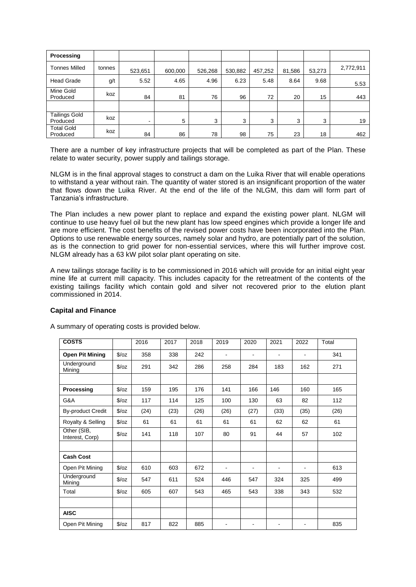| Processing                       |        |         |         |         |         |         |        |        |           |
|----------------------------------|--------|---------|---------|---------|---------|---------|--------|--------|-----------|
| <b>Tonnes Milled</b>             | tonnes | 523,651 | 600,000 | 526,268 | 530,882 | 457,252 | 81,586 | 53,273 | 2,772,911 |
| <b>Head Grade</b>                | g/t    | 5.52    | 4.65    | 4.96    | 6.23    | 5.48    | 8.64   | 9.68   | 5.53      |
| Mine Gold<br>Produced            | koz    | 84      | 81      | 76      | 96      | 72      | 20     | 15     | 443       |
|                                  |        |         |         |         |         |         |        |        |           |
| <b>Tailings Gold</b><br>Produced | koz    | -       | 5       | 3       | 3       | 3       | 3      | 3      | 19        |
| <b>Total Gold</b><br>Produced    | koz    | 84      | 86      | 78      | 98      | 75      | 23     | 18     | 462       |

There are a number of key infrastructure projects that will be completed as part of the Plan. These relate to water security, power supply and tailings storage.

NLGM is in the final approval stages to construct a dam on the Luika River that will enable operations to withstand a year without rain. The quantity of water stored is an insignificant proportion of the water that flows down the Luika River. At the end of the life of the NLGM, this dam will form part of Tanzania's infrastructure.

The Plan includes a new power plant to replace and expand the existing power plant. NLGM will continue to use heavy fuel oil but the new plant has low speed engines which provide a longer life and are more efficient. The cost benefits of the revised power costs have been incorporated into the Plan. Options to use renewable energy sources, namely solar and hydro, are potentially part of the solution, as is the connection to grid power for non-essential services, where this will further improve cost. NLGM already has a 63 kW pilot solar plant operating on site.

A new tailings storage facility is to be commissioned in 2016 which will provide for an initial eight year mine life at current mill capacity. This includes capacity for the retreatment of the contents of the existing tailings facility which contain gold and silver not recovered prior to the elution plant commissioned in 2014.

# **Capital and Finance**

| <b>COSTS</b>                   |               | 2016 | 2017 | 2018 | 2019 | 2020           | 2021           | 2022                         | Total |
|--------------------------------|---------------|------|------|------|------|----------------|----------------|------------------------------|-------|
| <b>Open Pit Mining</b>         | $\sqrt{2}/oz$ | 358  | 338  | 242  |      | ۰              | $\blacksquare$ |                              | 341   |
| Underground<br>Mining          | $\sqrt{2}/oz$ | 291  | 342  | 286  | 258  | 284            | 183            | 162                          | 271   |
|                                |               |      |      |      |      |                |                |                              |       |
| Processing                     | $\sqrt{2}$    | 159  | 195  | 176  | 141  | 166            | 146            | 160                          | 165   |
| G&A                            | $\sqrt{2}/oz$ | 117  | 114  | 125  | 100  | 130            | 63             | 82                           | 112   |
| <b>By-product Credit</b>       | $\sqrt{2}/oz$ | (24) | (23) | (26) | (26) | (27)           | (33)           | (35)                         | (26)  |
| Royalty & Selling              | $\sqrt{2}/oz$ | 61   | 61   | 61   | 61   | 61             | 62             | 62                           | 61    |
| Other (SIB,<br>Interest, Corp) | $\sqrt{2}/oz$ | 141  | 118  | 107  | 80   | 91             | 44             | 57                           | 102   |
|                                |               |      |      |      |      |                |                |                              |       |
| <b>Cash Cost</b>               |               |      |      |      |      |                |                |                              |       |
| Open Pit Mining                | $\sqrt{2}/oz$ | 610  | 603  | 672  | ۰    | $\blacksquare$ | $\blacksquare$ | $\blacksquare$               | 613   |
| Underground<br>Mining          | $\sqrt{2}$    | 547  | 611  | 524  | 446  | 547            | 324            | 325                          | 499   |
| Total                          | $\sqrt{2}/oz$ | 605  | 607  | 543  | 465  | 543            | 338            | 343                          | 532   |
|                                |               |      |      |      |      |                |                |                              |       |
| <b>AISC</b>                    |               |      |      |      |      |                |                |                              |       |
| Open Pit Mining                | $\sqrt{2}/oz$ | 817  | 822  | 885  |      | ٠              | $\blacksquare$ | $\qquad \qquad \blacksquare$ | 835   |

A summary of operating costs is provided below.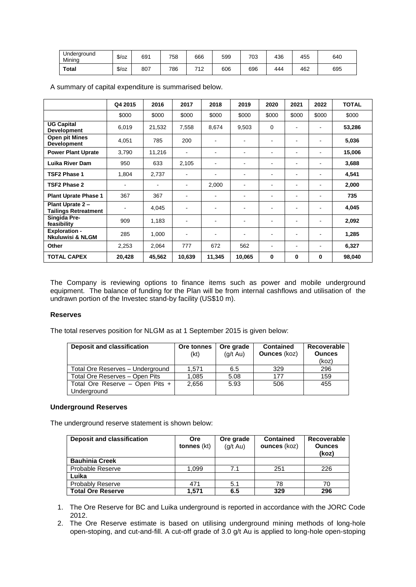| Underaround<br>Minina | $\sqrt{2}$    | 691 | 758 | 666       | 599 | 703 | 436 | 455 | 640 |
|-----------------------|---------------|-----|-----|-----------|-----|-----|-----|-----|-----|
| Total                 | $\sqrt{2}/oz$ | 807 | 786 | 74 0<br>- | 606 | 696 | 444 | 462 | 695 |

A summary of capital expenditure is summarised below.

|                                                     | Q4 2015                      | 2016                     | 2017                         | 2018           | 2019           | 2020           | 2021                     | 2022                         | <b>TOTAL</b> |
|-----------------------------------------------------|------------------------------|--------------------------|------------------------------|----------------|----------------|----------------|--------------------------|------------------------------|--------------|
|                                                     | \$000                        | \$000                    | \$000                        | \$000          | \$000          | \$000          | \$000                    | \$000                        | \$000        |
| <b>UG Capital</b><br><b>Development</b>             | 6,019                        | 21,532                   | 7,558                        | 8,674          | 9,503          | 0              | $\overline{\phantom{0}}$ |                              | 53,286       |
| Open pit Mines<br><b>Development</b>                | 4,051                        | 785                      | 200                          | ٠              | $\blacksquare$ | $\blacksquare$ | $\overline{\phantom{a}}$ |                              | 5,036        |
| <b>Power Plant Uprate</b>                           | 3,790                        | 11,216                   | ۰                            | ٠              |                | ۰              | $\overline{\phantom{a}}$ | ۰                            | 15,006       |
| <b>Luika River Dam</b>                              | 950                          | 633                      | 2,105                        | ٠              | -              | -              | $\overline{\phantom{a}}$ | ۰                            | 3,688        |
| TSF2 Phase 1                                        | 1,804                        | 2,737                    | $\overline{a}$               | ۰              | ۰              | ۰              | $\overline{\phantom{0}}$ | $\qquad \qquad \blacksquare$ | 4,541        |
| TSF2 Phase 2                                        | $\qquad \qquad \blacksquare$ | $\overline{\phantom{0}}$ | $\qquad \qquad \blacksquare$ | 2,000          | ۰              | -              | $\overline{\phantom{0}}$ |                              | 2,000        |
| <b>Plant Uprate Phase 1</b>                         | 367                          | 367                      | $\qquad \qquad \blacksquare$ | $\blacksquare$ | ٠              |                | ٠                        | ۰                            | 735          |
| Plant Uprate 2 -<br><b>Tailings Retreatment</b>     |                              | 4,045                    | $\qquad \qquad \blacksquare$ | ۰              |                |                |                          |                              | 4,045        |
| Singida Pre-<br>feasibility                         | 909                          | 1,183                    | $\overline{a}$               | ٠              |                |                | $\overline{\phantom{a}}$ |                              | 2,092        |
| <b>Exploration -</b><br><b>Nkuluwisi &amp; NLGM</b> | 285                          | 1,000                    | $\overline{a}$               | ٠              |                |                |                          |                              | 1,285        |
| Other                                               | 2,253                        | 2,064                    | 777                          | 672            | 562            |                | ٠                        |                              | 6,327        |
| <b>TOTAL CAPEX</b>                                  | 20,428                       | 45,562                   | 10,639                       | 11,345         | 10,065         | $\bf{0}$       | 0                        | 0                            | 98,040       |

The Company is reviewing options to finance items such as power and mobile underground equipment. The balance of funding for the Plan will be from internal cashflows and utilisation of the undrawn portion of the Investec stand-by facility (US\$10 m).

## **Reserves**

The total reserves position for NLGM as at 1 September 2015 is given below:

| Deposit and classification       | Ore tonnes | Ore grade     | <b>Contained</b>    | Recoverable   |
|----------------------------------|------------|---------------|---------------------|---------------|
|                                  | (kt)       | $(g/t \, Au)$ | <b>Ounces</b> (koz) | <b>Ounces</b> |
|                                  |            |               |                     | (koz)         |
| Total Ore Reserves - Underground | 1.571      | 6.5           | 329                 | 296           |
| Total Ore Reserves - Open Pits   | 1.085      | 5.08          | 177                 | 159           |
| Total Ore Reserve - Open Pits +  | 2,656      | 5.93          | 506                 | 455           |
| Underground                      |            |               |                     |               |

#### **Underground Reserves**

The underground reserve statement is shown below:

| <b>Deposit and classification</b> | <b>Ore</b><br>tonnes (kt) | Ore grade<br>$(g/t \, Au)$ | <b>Contained</b><br>ounces (koz) | Recoverable<br><b>Ounces</b><br>(koz) |
|-----------------------------------|---------------------------|----------------------------|----------------------------------|---------------------------------------|
| <b>Bauhinia Creek</b>             |                           |                            |                                  |                                       |
| Probable Reserve                  | 1.099                     | 7.1                        | 251                              | 226                                   |
| Luika                             |                           |                            |                                  |                                       |
| <b>Probably Reserve</b>           | 471                       | 5.1                        | 78                               | 70                                    |
| <b>Total Ore Reserve</b>          | 1.571                     | 6.5                        | 329                              | 296                                   |

- 1. The Ore Reserve for BC and Luika underground is reported in accordance with the JORC Code 2012.
- 2. The Ore Reserve estimate is based on utilising underground mining methods of long-hole open-stoping, and cut-and-fill. A cut-off grade of 3.0 g/t Au is applied to long-hole open-stoping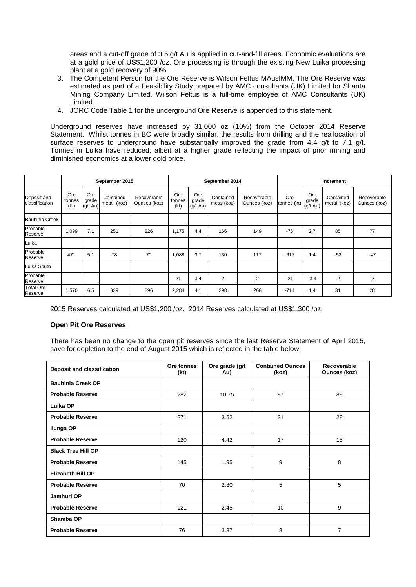areas and a cut-off grade of 3.5 g/t Au is applied in cut-and-fill areas. Economic evaluations are at a gold price of US\$1,200 /oz. Ore processing is through the existing New Luika processing plant at a gold recovery of 90%.

- 3. The Competent Person for the Ore Reserve is Wilson Feltus MAusIMM. The Ore Reserve was estimated as part of a Feasibility Study prepared by AMC consultants (UK) Limited for Shanta Mining Company Limited. Wilson Feltus is a full-time employee of AMC Consultants (UK) Limited.
- 4. JORC Code Table 1 for the underground Ore Reserve is appended to this statement.

Underground reserves have increased by 31,000 oz (10%) from the October 2014 Reserve Statement. Whilst tonnes in BC were broadly similar, the results from drilling and the reallocation of surface reserves to underground have substantially improved the grade from 4.4 g/t to 7.1 g/t. Tonnes in Luika have reduced, albeit at a higher grade reflecting the impact of prior mining and diminished economics at a lower gold price.

|                               | September 2015        |                          |                          | September 2014              |                       |                                    | Increment                |                             |                    |                               |                          |                             |
|-------------------------------|-----------------------|--------------------------|--------------------------|-----------------------------|-----------------------|------------------------------------|--------------------------|-----------------------------|--------------------|-------------------------------|--------------------------|-----------------------------|
| Deposit and<br>classification | Ore<br>tonnes<br>(kt) | Ore<br>grade<br>(g/t Au) | Contained<br>metal (koz) | Recoverable<br>Ounces (koz) | Ore<br>tonnes<br>(kt) | Ore<br>grade<br>$(g/t \text{ Au})$ | Contained<br>metal (koz) | Recoverable<br>Ounces (koz) | Ore<br>tonnes (kt) | Ore<br>grade<br>$(g/t \, Au)$ | Contained<br>metal (koz) | Recoverable<br>Ounces (koz) |
| <b>Bauhinia Creek</b>         |                       |                          |                          |                             |                       |                                    |                          |                             |                    |                               |                          |                             |
| Probable<br>Reserve           | 1,099                 | 7.1                      | 251                      | 226                         | 1,175                 | 4.4                                | 166                      | 149                         | $-76$              | 2.7                           | 85                       | 77                          |
| Luika                         |                       |                          |                          |                             |                       |                                    |                          |                             |                    |                               |                          |                             |
| Probable<br>Reserve           | 471                   | 5.1                      | 78                       | 70                          | 1,088                 | 3.7                                | 130                      | 117                         | $-617$             | 1.4                           | $-52$                    | $-47$                       |
| Luika South                   |                       |                          |                          |                             |                       |                                    |                          |                             |                    |                               |                          |                             |
| Probable<br>Reserve           |                       |                          |                          |                             | 21                    | 3.4                                | $\overline{2}$           | $\overline{2}$              | $-21$              | $-3.4$                        | $-2$                     | $-2$                        |
| <b>Total Ore</b><br>Reserve   | 1,570                 | 6.5                      | 329                      | 296                         | 2,284                 | 4.1                                | 298                      | 268                         | $-714$             | 1.4                           | 31                       | 28                          |

2015 Reserves calculated at US\$1,200 /oz. 2014 Reserves calculated at US\$1,300 /oz.

## **Open Pit Ore Reserves**

There has been no change to the open pit reserves since the last Reserve Statement of April 2015, save for depletion to the end of August 2015 which is reflected in the table below.

| Deposit and classification | Ore tonnes<br>(kt) | Ore grade (g/t<br>Au) | <b>Contained Ounces</b><br>(koz) | Recoverable<br><b>Ounces (koz)</b> |
|----------------------------|--------------------|-----------------------|----------------------------------|------------------------------------|
| <b>Bauhinia Creek OP</b>   |                    |                       |                                  |                                    |
| <b>Probable Reserve</b>    | 282                | 10.75                 | 97                               | 88                                 |
| Luika OP                   |                    |                       |                                  |                                    |
| <b>Probable Reserve</b>    | 271                | 3.52                  | 31                               | 28                                 |
| <b>Ilunga OP</b>           |                    |                       |                                  |                                    |
| <b>Probable Reserve</b>    | 120                | 4.42                  | 17                               | 15                                 |
| <b>Black Tree Hill OP</b>  |                    |                       |                                  |                                    |
| <b>Probable Reserve</b>    | 145                | 1.95                  | 9                                | 8                                  |
| <b>Elizabeth Hill OP</b>   |                    |                       |                                  |                                    |
| <b>Probable Reserve</b>    | 70                 | 2.30                  | 5                                | 5                                  |
| Jamhuri OP                 |                    |                       |                                  |                                    |
| <b>Probable Reserve</b>    | 121                | 2.45                  | 10                               | 9                                  |
| Shamba OP                  |                    |                       |                                  |                                    |
| <b>Probable Reserve</b>    | 76                 | 3.37                  | 8                                | 7                                  |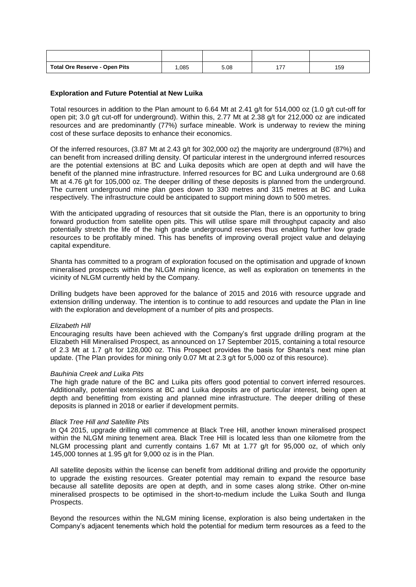| Total Ore Reserve - Open Pits | ,085 | 5.08 | $- -$ | 159 |
|-------------------------------|------|------|-------|-----|

## **Exploration and Future Potential at New Luika**

Total resources in addition to the Plan amount to 6.64 Mt at 2.41 g/t for 514,000 oz (1.0 g/t cut-off for open pit; 3.0 g/t cut-off for underground). Within this, 2.77 Mt at 2.38 g/t for 212,000 oz are indicated resources and are predominantly (77%) surface mineable. Work is underway to review the mining cost of these surface deposits to enhance their economics.

Of the inferred resources, (3.87 Mt at 2.43 g/t for 302,000 oz) the majority are underground (87%) and can benefit from increased drilling density. Of particular interest in the underground inferred resources are the potential extensions at BC and Luika deposits which are open at depth and will have the benefit of the planned mine infrastructure. Inferred resources for BC and Luika underground are 0.68 Mt at 4.76 g/t for 105,000 oz. The deeper drilling of these deposits is planned from the underground. The current underground mine plan goes down to 330 metres and 315 metres at BC and Luika respectively. The infrastructure could be anticipated to support mining down to 500 metres.

With the anticipated upgrading of resources that sit outside the Plan, there is an opportunity to bring forward production from satellite open pits. This will utilise spare mill throughput capacity and also potentially stretch the life of the high grade underground reserves thus enabling further low grade resources to be profitably mined. This has benefits of improving overall project value and delaying capital expenditure.

Shanta has committed to a program of exploration focused on the optimisation and upgrade of known mineralised prospects within the NLGM mining licence, as well as exploration on tenements in the vicinity of NLGM currently held by the Company.

Drilling budgets have been approved for the balance of 2015 and 2016 with resource upgrade and extension drilling underway. The intention is to continue to add resources and update the Plan in line with the exploration and development of a number of pits and prospects.

#### *Elizabeth Hill*

Encouraging results have been achieved with the Company's first upgrade drilling program at the Elizabeth Hill Mineralised Prospect, as announced on 17 September 2015, containing a total resource of 2.3 Mt at 1.7 g/t for 128,000 oz. This Prospect provides the basis for Shanta's next mine plan update. (The Plan provides for mining only 0.07 Mt at 2.3 g/t for 5,000 oz of this resource).

#### *Bauhinia Creek and Luika Pits*

The high grade nature of the BC and Luika pits offers good potential to convert inferred resources. Additionally, potential extensions at BC and Luika deposits are of particular interest, being open at depth and benefitting from existing and planned mine infrastructure. The deeper drilling of these deposits is planned in 2018 or earlier if development permits.

#### *Black Tree Hill and Satellite Pits*

In Q4 2015, upgrade drilling will commence at Black Tree Hill, another known mineralised prospect within the NLGM mining tenement area. Black Tree Hill is located less than one kilometre from the NLGM processing plant and currently contains 1.67 Mt at 1.77 g/t for 95,000 oz, of which only 145,000 tonnes at 1.95 g/t for 9,000 oz is in the Plan.

All satellite deposits within the license can benefit from additional drilling and provide the opportunity to upgrade the existing resources. Greater potential may remain to expand the resource base because all satellite deposits are open at depth, and in some cases along strike. Other on-mine mineralised prospects to be optimised in the short-to-medium include the Luika South and Ilunga Prospects.

Beyond the resources within the NLGM mining license, exploration is also being undertaken in the Company's adjacent tenements which hold the potential for medium term resources as a feed to the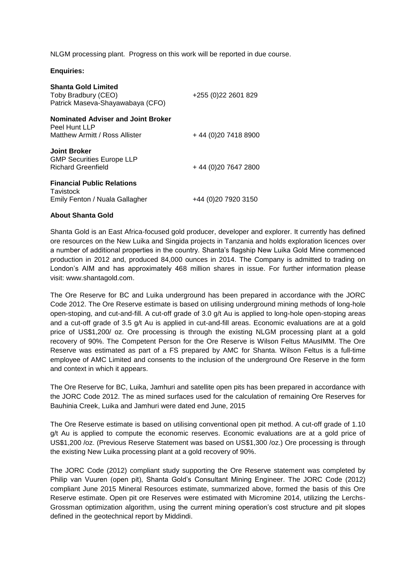NLGM processing plant. Progress on this work will be reported in due course.

**Enquiries:**

| <b>Shanta Gold Limited</b><br>Toby Bradbury (CEO)<br>Patrick Maseva-Shayawabaya (CFO) | +255 (0) 22 2601 829 |
|---------------------------------------------------------------------------------------|----------------------|
| Nominated Adviser and Joint Broker<br>Peel Hunt LLP<br>Matthew Armitt / Ross Allister | +44 (0) 20 7418 8900 |
| <b>Joint Broker</b><br><b>GMP Securities Europe LLP</b><br><b>Richard Greenfield</b>  | +44 (0) 20 7647 2800 |
| <b>Financial Public Relations</b><br>Tavistock<br>Emily Fenton / Nuala Gallagher      | +44 (0)20 7920 3150  |

## **About Shanta Gold**

Shanta Gold is an East Africa-focused gold producer, developer and explorer. It currently has defined ore resources on the New Luika and Singida projects in Tanzania and holds exploration licences over a number of additional properties in the country. Shanta's flagship New Luika Gold Mine commenced production in 2012 and, produced 84,000 ounces in 2014. The Company is admitted to trading on London's AIM and has approximately 468 million shares in issue. For further information please visit: [www.shantagold.com.](http://www.shantagold.com/)

The Ore Reserve for BC and Luika underground has been prepared in accordance with the JORC Code 2012. The Ore Reserve estimate is based on utilising underground mining methods of long-hole open-stoping, and cut-and-fill. A cut-off grade of 3.0 g/t Au is applied to long-hole open-stoping areas and a cut-off grade of 3.5 g/t Au is applied in cut-and-fill areas. Economic evaluations are at a gold price of US\$1,200/ oz. Ore processing is through the existing NLGM processing plant at a gold recovery of 90%. The Competent Person for the Ore Reserve is Wilson Feltus MAusIMM. The Ore Reserve was estimated as part of a FS prepared by AMC for Shanta. Wilson Feltus is a full-time employee of AMC Limited and consents to the inclusion of the underground Ore Reserve in the form and context in which it appears.

The Ore Reserve for BC, Luika, Jamhuri and satellite open pits has been prepared in accordance with the JORC Code 2012. The as mined surfaces used for the calculation of remaining Ore Reserves for Bauhinia Creek, Luika and Jamhuri were dated end June, 2015

The Ore Reserve estimate is based on utilising conventional open pit method. A cut-off grade of 1.10 g/t Au is applied to compute the economic reserves. Economic evaluations are at a gold price of US\$1,200 /oz. (Previous Reserve Statement was based on US\$1,300 /oz.) Ore processing is through the existing New Luika processing plant at a gold recovery of 90%.

The JORC Code (2012) compliant study supporting the Ore Reserve statement was completed by Philip van Vuuren (open pit), Shanta Gold's Consultant Mining Engineer. The JORC Code (2012) compliant June 2015 Mineral Resources estimate, summarized above, formed the basis of this Ore Reserve estimate. Open pit ore Reserves were estimated with Micromine 2014, utilizing the Lerchs-Grossman optimization algorithm, using the current mining operation's cost structure and pit slopes defined in the geotechnical report by Middindi.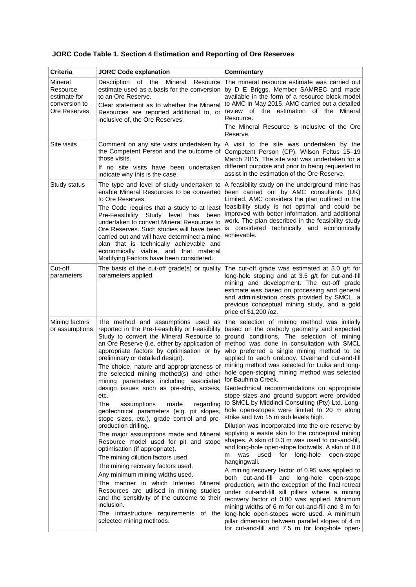# **JORC Code Table 1. Section 4 Estimation and Reporting of Ore Reserves**

| Criteria                                                             | <b>JORC Code explanation</b>                                                                                                                                                                                                                                                                                                                                                                                                                                                                                                                                                                                                                                                                                                                                                                                                                                                                                                                                                                                                                                                    | <b>Commentary</b>                                                                                                                                                                                                                                                                                                                                                                                                                                                                                                                                                                                                                                                                                                                                                                                                                                                                                                                                                                                                                                                                                                                                                                                                                                                                                                                                                                                                |
|----------------------------------------------------------------------|---------------------------------------------------------------------------------------------------------------------------------------------------------------------------------------------------------------------------------------------------------------------------------------------------------------------------------------------------------------------------------------------------------------------------------------------------------------------------------------------------------------------------------------------------------------------------------------------------------------------------------------------------------------------------------------------------------------------------------------------------------------------------------------------------------------------------------------------------------------------------------------------------------------------------------------------------------------------------------------------------------------------------------------------------------------------------------|------------------------------------------------------------------------------------------------------------------------------------------------------------------------------------------------------------------------------------------------------------------------------------------------------------------------------------------------------------------------------------------------------------------------------------------------------------------------------------------------------------------------------------------------------------------------------------------------------------------------------------------------------------------------------------------------------------------------------------------------------------------------------------------------------------------------------------------------------------------------------------------------------------------------------------------------------------------------------------------------------------------------------------------------------------------------------------------------------------------------------------------------------------------------------------------------------------------------------------------------------------------------------------------------------------------------------------------------------------------------------------------------------------------|
| Mineral<br>Resource<br>estimate for<br>conversion to<br>Ore Reserves | Mineral<br>Description of the<br>Resource<br>estimate used as a basis for the conversion<br>to an Ore Reserve.<br>Clear statement as to whether the Mineral<br>Resources are reported additional to, or<br>inclusive of, the Ore Reserves.                                                                                                                                                                                                                                                                                                                                                                                                                                                                                                                                                                                                                                                                                                                                                                                                                                      | The mineral resource estimate was carried out<br>by D E Briggs, Member SAMREC and made<br>available in the form of a resource block model<br>to AMC in May 2015. AMC carried out a detailed<br>review of the estimation of the<br>Mineral<br>Resource.<br>The Mineral Resource is inclusive of the Ore<br>Reserve.                                                                                                                                                                                                                                                                                                                                                                                                                                                                                                                                                                                                                                                                                                                                                                                                                                                                                                                                                                                                                                                                                               |
| Site visits                                                          | Comment on any site visits undertaken by<br>the Competent Person and the outcome of<br>those visits.<br>If no site visits have been undertaken<br>indicate why this is the case.                                                                                                                                                                                                                                                                                                                                                                                                                                                                                                                                                                                                                                                                                                                                                                                                                                                                                                | A visit to the site was undertaken by the<br>Competent Person (CP), Wilson Feltus 15-19<br>March 2015. The site visit was undertaken for a<br>different purpose and prior to being requested to<br>assist in the estimation of the Ore Reserve.                                                                                                                                                                                                                                                                                                                                                                                                                                                                                                                                                                                                                                                                                                                                                                                                                                                                                                                                                                                                                                                                                                                                                                  |
| Study status                                                         | The type and level of study undertaken to<br>enable Mineral Resources to be converted<br>to Ore Reserves.<br>The Code requires that a study to at least<br>Pre-Feasibility Study level has<br>been<br>undertaken to convert Mineral Resources to<br>Ore Reserves. Such studies will have been<br>carried out and will have determined a mine<br>plan that is technically achievable and<br>economically viable, and that material<br>Modifying Factors have been considered.                                                                                                                                                                                                                                                                                                                                                                                                                                                                                                                                                                                                    | A feasibility study on the underground mine has<br>been carried out by AMC consultants (UK)<br>Limited. AMC considers the plan outlined in the<br>feasibility study is not optimal and could be<br>improved with better information, and additional<br>work. The plan described in the feasibility study<br>is considered technically and economically<br>achievable.                                                                                                                                                                                                                                                                                                                                                                                                                                                                                                                                                                                                                                                                                                                                                                                                                                                                                                                                                                                                                                            |
| Cut-off<br>parameters                                                | The basis of the cut-off grade(s) or quality<br>parameters applied.                                                                                                                                                                                                                                                                                                                                                                                                                                                                                                                                                                                                                                                                                                                                                                                                                                                                                                                                                                                                             | The cut-off grade was estimated at 3.0 g/t for<br>long-hole stoping and at 3.5 g/t for cut-and-fill<br>mining and development. The cut-off grade<br>estimate was based on processing and general<br>and administration costs provided by SMCL, a<br>previous conceptual mining study, and a gold<br>price of \$1,200 /oz.                                                                                                                                                                                                                                                                                                                                                                                                                                                                                                                                                                                                                                                                                                                                                                                                                                                                                                                                                                                                                                                                                        |
| Mining factors<br>or assumptions                                     | The method and assumptions used as<br>reported in the Pre-Feasibility or Feasibility<br>Study to convert the Mineral Resource to<br>an Ore Reserve (i.e. either by application of<br>appropriate factors by optimisation or by<br>preliminary or detailed design).<br>The choice, nature and appropriateness of<br>the selected mining method(s) and other<br>mining parameters including associated<br>design issues such as pre-strip, access,<br>etc.<br>The<br>assumptions<br>made<br>regarding<br>geotechnical parameters (e.g. pit slopes,<br>stope sizes, etc.), grade control and pre-<br>production drilling.<br>The major assumptions made and Mineral<br>Resource model used for pit and stope<br>optimisation (if appropriate).<br>The mining dilution factors used.<br>The mining recovery factors used.<br>Any minimum mining widths used.<br>The manner in which Inferred Mineral<br>Resources are utilised in mining studies<br>and the sensitivity of the outcome to their<br>inclusion.<br>The infrastructure requirements of the<br>selected mining methods. | The selection of mining method was initially<br>based on the orebody geometry and expected<br>ground conditions. The selection of mining<br>method was done in consultation with SMCL<br>who preferred a single mining method to be<br>applied to each orebody. Overhand cut-and-fill<br>mining method was selected for Luika and long-<br>hole open-stoping mining method was selected<br>for Bauhinia Creek.<br>Geotechnical recommendations on appropriate<br>stope sizes and ground support were provided<br>to SMCL by Middindi Consulting (Pty) Ltd. Long-<br>hole open-stopes were limited to 20 m along<br>strike and two 15 m sub levels high.<br>Dilution was incorporated into the ore reserve by<br>applying a waste skin to the conceptual mining<br>shapes. A skin of 0.3 m was used to cut-and-fill,<br>and long-hole open-stope footwalls. A skin of 0.8<br>used<br>for<br>long-hole<br>open-stope<br>was<br>m<br>hangingwall.<br>A mining recovery factor of 0.95 was applied to<br>both cut-and-fill and long-hole open-stope<br>production, with the exception of the final retreat<br>under cut-and-fill sill pillars where a mining<br>recovery factor of 0.80 was applied. Minimum<br>mining widths of 6 m for cut-and-fill and 3 m for<br>long-hole open-stopes were used. A minimum<br>pillar dimension between parallel stopes of 4 m<br>for cut-and-fill and 7.5 m for long-hole open- |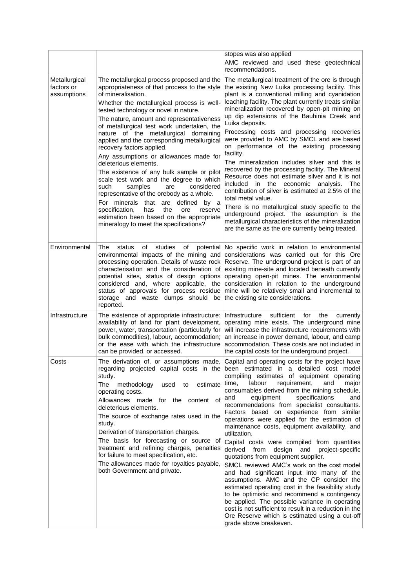|                                            |                                                                                                                                                                                                                                                                                                                                                                                                                                                                                                                                                                                                                                                                                                                                                                                                                                                          | stopes was also applied<br>AMC reviewed and used these geotechnical<br>recommendations.                                                                                                                                                                                                                                                                                                                                                                                                                                                                                                                                                                                                                                                                                                                                                                                                                                                                                                                                                                                                                                      |
|--------------------------------------------|----------------------------------------------------------------------------------------------------------------------------------------------------------------------------------------------------------------------------------------------------------------------------------------------------------------------------------------------------------------------------------------------------------------------------------------------------------------------------------------------------------------------------------------------------------------------------------------------------------------------------------------------------------------------------------------------------------------------------------------------------------------------------------------------------------------------------------------------------------|------------------------------------------------------------------------------------------------------------------------------------------------------------------------------------------------------------------------------------------------------------------------------------------------------------------------------------------------------------------------------------------------------------------------------------------------------------------------------------------------------------------------------------------------------------------------------------------------------------------------------------------------------------------------------------------------------------------------------------------------------------------------------------------------------------------------------------------------------------------------------------------------------------------------------------------------------------------------------------------------------------------------------------------------------------------------------------------------------------------------------|
| Metallurgical<br>factors or<br>assumptions | The metallurgical process proposed and the<br>appropriateness of that process to the style<br>of mineralisation.<br>Whether the metallurgical process is well-<br>tested technology or novel in nature.<br>The nature, amount and representativeness<br>of metallurgical test work undertaken, the<br>nature of the metallurgical<br>domaining<br>applied and the corresponding metallurgical<br>recovery factors applied.<br>Any assumptions or allowances made for<br>deleterious elements.<br>The existence of any bulk sample or pilot<br>scale test work and the degree to which<br>such<br>considered<br>samples<br>are<br>representative of the orebody as a whole.<br>For minerals that are defined by a<br>the<br>specification,<br>has<br>ore<br>reserve<br>estimation been based on the appropriate<br>mineralogy to meet the specifications? | The metallurgical treatment of the ore is through<br>the existing New Luika processing facility. This<br>plant is a conventional milling and cyanidation<br>leaching facility. The plant currently treats similar<br>mineralization recovered by open-pit mining on<br>up dip extensions of the Bauhinia Creek and<br>Luika deposits.<br>Processing costs and processing recoveries<br>were provided to AMC by SMCL and are based<br>on performance of the existing processing<br>facility.<br>The mineralization includes silver and this is<br>recovered by the processing facility. The Mineral<br>Resource does not estimate silver and it is not<br>included in the<br>economic<br>analysis.<br>The<br>contribution of silver is estimated at 2.5% of the<br>total metal value.<br>There is no metallurgical study specific to the<br>underground project. The assumption is the<br>metallurgical characteristics of the mineralization<br>are the same as the ore currently being treated.                                                                                                                             |
| Environmental                              | The<br>οf<br>studies<br>of<br>status<br>potential<br>environmental impacts of the mining and<br>processing operation. Details of waste rock<br>characterisation and the consideration of<br>potential sites, status of design options<br>considered and, where applicable, the<br>status of approvals for process residue<br>storage and waste dumps should be<br>reported.                                                                                                                                                                                                                                                                                                                                                                                                                                                                              | No specific work in relation to environmental<br>considerations was carried out for this Ore<br>Reserve. The underground project is part of an<br>existing mine-site and located beneath currently<br>operating open-pit mines. The environmental<br>consideration in relation to the underground<br>mine will be relatively small and incremental to<br>the existing site considerations.                                                                                                                                                                                                                                                                                                                                                                                                                                                                                                                                                                                                                                                                                                                                   |
| Infrastructure                             | The existence of appropriate infrastructure:<br>availability of land for plant development,<br>power, water, transportation (particularly for<br>bulk commodities), labour, accommodation;<br>or the ease with which the infrastructure<br>can be provided, or accessed.                                                                                                                                                                                                                                                                                                                                                                                                                                                                                                                                                                                 | Infrastructure<br>sufficient<br>for<br>the<br>currently<br>operating mine exists. The underground mine<br>will increase the infrastructure requirements with<br>an increase in power demand, labour, and camp<br>accommodation. These costs are not included in<br>the capital costs for the underground project.                                                                                                                                                                                                                                                                                                                                                                                                                                                                                                                                                                                                                                                                                                                                                                                                            |
| Costs                                      | The derivation of, or assumptions made,<br>study.<br>The<br>estimate<br>methodology<br>used<br>to<br>operating costs.<br>Allowances made for the content of<br>deleterious elements.<br>The source of exchange rates used in the<br>study.<br>Derivation of transportation charges.<br>The basis for forecasting or source of<br>treatment and refining charges, penalties<br>for failure to meet specification, etc.<br>The allowances made for royalties payable,<br>both Government and private.                                                                                                                                                                                                                                                                                                                                                      | Capital and operating costs for the project have<br>regarding projected capital costs in the been estimated in a detailed cost model<br>compiling estimates of equipment operating<br>labour<br>requirement,<br>time,<br>and<br>major<br>consumables derived from the mining schedule,<br>specifications<br>equipment<br>and<br>and<br>recommendations from specialist consultants.<br>Factors based on experience from similar<br>operations were applied for the estimation of<br>maintenance costs, equipment availability, and<br>utilization.<br>Capital costs were compiled from quantities<br>derived from design<br>and project-specific<br>quotations from equipment supplier.<br>SMCL reviewed AMC's work on the cost model<br>and had significant input into many of the<br>assumptions. AMC and the CP consider the<br>estimated operating cost in the feasibility study<br>to be optimistic and recommend a contingency<br>be applied. The possible variance in operating<br>cost is not sufficient to result in a reduction in the<br>Ore Reserve which is estimated using a cut-off<br>grade above breakeven. |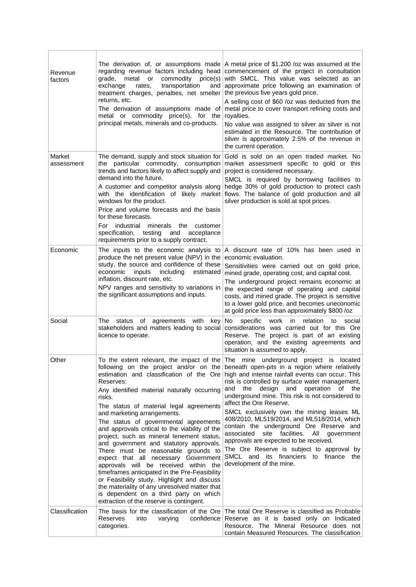| Revenue<br>factors   | The derivation of, or assumptions made<br>regarding revenue factors including head<br>commodity<br>price(s)<br>grade,<br>metal<br>or<br>transportation<br>exchange<br>rates,<br>and<br>treatment charges, penalties, net smelter<br>returns, etc.<br>The derivation of assumptions made of<br>metal or commodity price(s), for the<br>principal metals, minerals and co-products.                                                                                                                                                                                                                                                                                                                                                                                                    | A metal price of \$1,200 /oz was assumed at the<br>commencement of the project in consultation<br>with SMCL. This value was selected as an<br>approximate price following an examination of<br>the previous five years gold price.<br>A selling cost of \$60 /oz was deducted from the<br>metal price to cover transport refining costs and<br>royalties.<br>No value was assigned to silver as silver is not<br>estimated in the Resource. The contribution of<br>silver is approximately 2.5% of the revenue in<br>the current operation.                                                                                                                                                                                       |
|----------------------|--------------------------------------------------------------------------------------------------------------------------------------------------------------------------------------------------------------------------------------------------------------------------------------------------------------------------------------------------------------------------------------------------------------------------------------------------------------------------------------------------------------------------------------------------------------------------------------------------------------------------------------------------------------------------------------------------------------------------------------------------------------------------------------|-----------------------------------------------------------------------------------------------------------------------------------------------------------------------------------------------------------------------------------------------------------------------------------------------------------------------------------------------------------------------------------------------------------------------------------------------------------------------------------------------------------------------------------------------------------------------------------------------------------------------------------------------------------------------------------------------------------------------------------|
| Market<br>assessment | The demand, supply and stock situation for<br>the particular commodity, consumption<br>trends and factors likely to affect supply and<br>demand into the future.<br>A customer and competitor analysis along<br>with the identification of likely market<br>windows for the product.<br>Price and volume forecasts and the basis<br>for these forecasts.<br>industrial<br>For<br>minerals<br>the<br>customer<br>specification,<br>testing<br>and<br>acceptance<br>requirements prior to a supply contract.                                                                                                                                                                                                                                                                           | Gold is sold on an open traded market. No<br>market assessment specific to gold or this<br>project is considered necessary.<br>SMCL is required by borrowing facilities to<br>hedge 30% of gold production to protect cash<br>flows. The balance of gold production and all<br>silver production is sold at spot prices.                                                                                                                                                                                                                                                                                                                                                                                                          |
| Economic             | The inputs to the economic analysis to<br>produce the net present value (NPV) in the<br>study, the source and confidence of these<br>economic<br>including<br>estimated<br>inputs<br>inflation, discount rate, etc.<br>NPV ranges and sensitivity to variations in<br>the significant assumptions and inputs.                                                                                                                                                                                                                                                                                                                                                                                                                                                                        | A discount rate of 10% has been used in<br>economic evaluation.<br>Sensitivities were carried out on gold price,<br>mined grade, operating cost, and capital cost.<br>The underground project remains economic at<br>the expected range of operating and capital<br>costs, and mined grade. The project is sensitive<br>to a lower gold price, and becomes uneconomic<br>at gold price less than approximately \$800 /oz                                                                                                                                                                                                                                                                                                          |
| Social               | status<br>οf<br>with<br>The<br>agreements<br>key<br>stakeholders and matters leading to social<br>licence to operate.                                                                                                                                                                                                                                                                                                                                                                                                                                                                                                                                                                                                                                                                | relation<br>No.<br>specific<br>work<br>social<br>in<br>to<br>considerations was carried out for this Ore<br>Reserve. The project is part of an existing<br>operation, and the existing agreements and<br>situation is assumed to apply.                                                                                                                                                                                                                                                                                                                                                                                                                                                                                           |
| Other                | following on the project and/or on the<br>estimation and classification of the Ore<br>Reserves:<br>Any identified material naturally occurring<br>risks.<br>The status of material legal agreements<br>and marketing arrangements.<br>The status of governmental agreements<br>and approvals critical to the viability of the<br>project, such as mineral tenement status,<br>and government and statutory approvals.<br>There must be reasonable grounds to<br>expect that all necessary Government<br>approvals will be received within the<br>timeframes anticipated in the Pre-Feasibility<br>or Feasibility study. Highlight and discuss<br>the materiality of any unresolved matter that<br>is dependent on a third party on which<br>extraction of the reserve is contingent. | To the extent relevant, the impact of the The mine underground project is located<br>beneath open-pits in a region where relatively<br>high and intense rainfall events can occur. This<br>risk is controlled by surface water management,<br>and the design and<br>operation of the<br>underground mine. This risk is not considered to<br>affect the Ore Reserve.<br>SMCL exclusively own the mining leases ML<br>408/2010, ML519/2014, and ML518/2014, which<br>contain the underground Ore Reserve and<br>site<br>facilities.<br>associated<br>All<br>government<br>approvals are expected to be received.<br>The Ore Reserve is subject to approval by<br>SMCL and its financiers to finance the<br>development of the mine. |
| Classification       | The basis for the classification of the Ore<br>Reserves<br>into<br>varying<br>confidence<br>categories.                                                                                                                                                                                                                                                                                                                                                                                                                                                                                                                                                                                                                                                                              | The total Ore Reserve is classified as Probable<br>Reserve as it is based only on Indicated<br>Resource. The Mineral Resource does not<br>contain Measured Resources. The classification                                                                                                                                                                                                                                                                                                                                                                                                                                                                                                                                          |